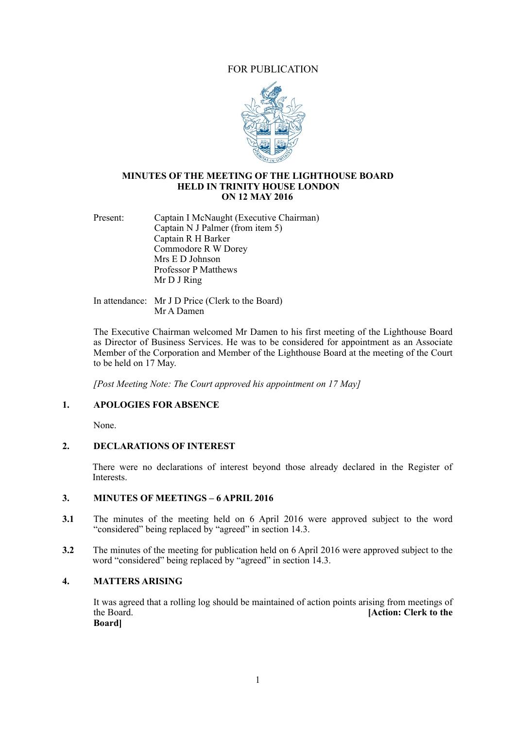# FOR PUBLICATION



#### **MINUTES OF THE MEETING OF THE LIGHTHOUSE BOARD HELD IN TRINITY HOUSE LONDON ON 12 MAY 2016**

Present: Captain I McNaught (Executive Chairman) Captain N J Palmer (from item 5) Captain R H Barker Commodore R W Dorey Mrs E D Johnson Professor P Matthews Mr D J Ring

In attendance: Mr J D Price (Clerk to the Board) Mr A Damen

The Executive Chairman welcomed Mr Damen to his first meeting of the Lighthouse Board as Director of Business Services. He was to be considered for appointment as an Associate Member of the Corporation and Member of the Lighthouse Board at the meeting of the Court to be held on 17 May.

*[Post Meeting Note: The Court approved his appointment on 17 May]* 

## **1. APOLOGIES FOR ABSENCE**

None.

#### **2. DECLARATIONS OF INTEREST**

There were no declarations of interest beyond those already declared in the Register of **Interests** 

# **3. MINUTES OF MEETINGS – 6 APRIL 2016**

- **3.1** The minutes of the meeting held on 6 April 2016 were approved subject to the word "considered" being replaced by "agreed" in section 14.3.
- **3.2** The minutes of the meeting for publication held on 6 April 2016 were approved subject to the word "considered" being replaced by "agreed" in section 14.3.

#### **4. MATTERS ARISING**

It was agreed that a rolling log should be maintained of action points arising from meetings of the Board [Action: Clerk to the **IAction: Clerk to the Board]**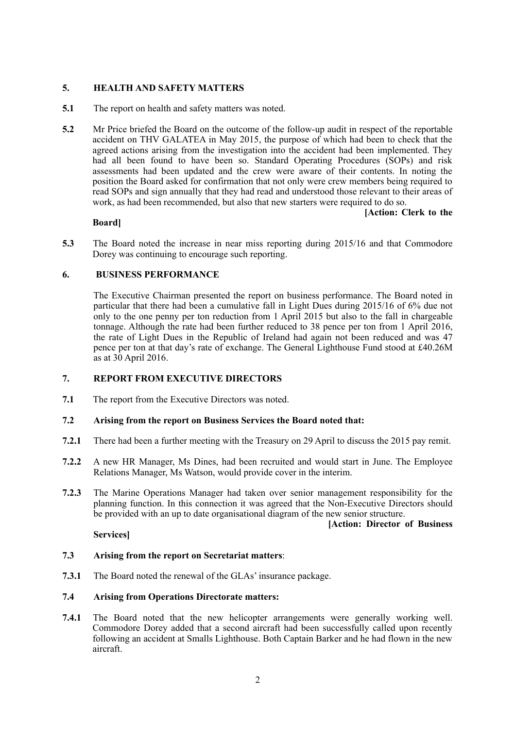## **5. HEALTH AND SAFETY MATTERS**

- **5.1** The report on health and safety matters was noted.
- **5.2** Mr Price briefed the Board on the outcome of the follow-up audit in respect of the reportable accident on THV GALATEA in May 2015, the purpose of which had been to check that the agreed actions arising from the investigation into the accident had been implemented. They had all been found to have been so. Standard Operating Procedures (SOPs) and risk assessments had been updated and the crew were aware of their contents. In noting the position the Board asked for confirmation that not only were crew members being required to read SOPs and sign annually that they had read and understood those relevant to their areas of work, as had been recommended, but also that new starters were required to do so.

#### **Board]**

 **[Action: Clerk to the** 

**5.3** The Board noted the increase in near miss reporting during 2015/16 and that Commodore Dorey was continuing to encourage such reporting.

#### **6. BUSINESS PERFORMANCE**

The Executive Chairman presented the report on business performance. The Board noted in particular that there had been a cumulative fall in Light Dues during 2015/16 of 6% due not only to the one penny per ton reduction from 1 April 2015 but also to the fall in chargeable tonnage. Although the rate had been further reduced to 38 pence per ton from 1 April 2016, the rate of Light Dues in the Republic of Ireland had again not been reduced and was 47 pence per ton at that day's rate of exchange. The General Lighthouse Fund stood at £40.26M as at 30 April 2016.

## **7. REPORT FROM EXECUTIVE DIRECTORS**

**7.1** The report from the Executive Directors was noted.

#### **7.2 Arising from the report on Business Services the Board noted that:**

- **7.2.1** There had been a further meeting with the Treasury on 29 April to discuss the 2015 pay remit.
- **7.2.2** A new HR Manager, Ms Dines, had been recruited and would start in June. The Employee Relations Manager, Ms Watson, would provide cover in the interim.
- **7.2.3** The Marine Operations Manager had taken over senior management responsibility for the planning function. In this connection it was agreed that the Non-Executive Directors should be provided with an up to date organisational diagram of the new senior structure.

#### **[Action: Director of Business**

**Services]**

#### **7.3 Arising from the report on Secretariat matters**:

**7.3.1** The Board noted the renewal of the GLAs' insurance package.

#### **7.4 Arising from Operations Directorate matters:**

**7.4.1** The Board noted that the new helicopter arrangements were generally working well. Commodore Dorey added that a second aircraft had been successfully called upon recently following an accident at Smalls Lighthouse. Both Captain Barker and he had flown in the new aircraft.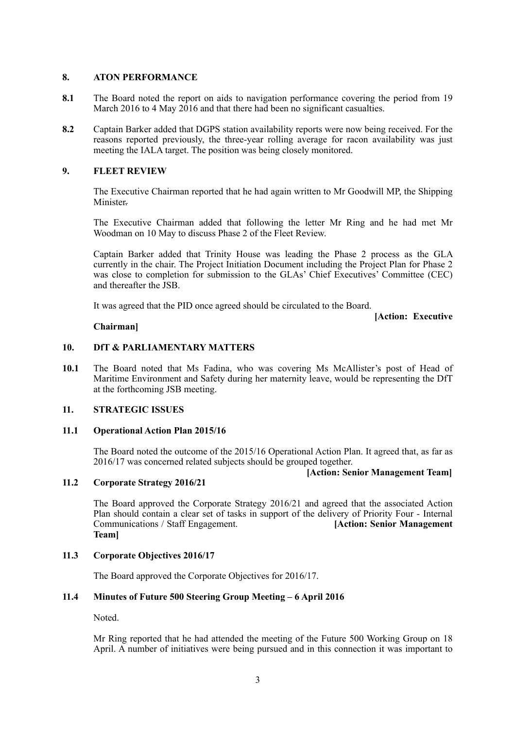## **8. ATON PERFORMANCE**

- **8.1** The Board noted the report on aids to navigation performance covering the period from 19 March 2016 to 4 May 2016 and that there had been no significant casualties.
- **8.2** Captain Barker added that DGPS station availability reports were now being received. For the reasons reported previously, the three-year rolling average for racon availability was just meeting the IALA target. The position was being closely monitored.

## **9. FLEET REVIEW**

The Executive Chairman reported that he had again written to Mr Goodwill MP, the Shipping Minister.

 The Executive Chairman added that following the letter Mr Ring and he had met Mr Woodman on 10 May to discuss Phase 2 of the Fleet Review.

Captain Barker added that Trinity House was leading the Phase 2 process as the GLA currently in the chair. The Project Initiation Document including the Project Plan for Phase 2 was close to completion for submission to the GLAs' Chief Executives' Committee (CEC) and thereafter the JSB.

It was agreed that the PID once agreed should be circulated to the Board.

**[Action: Executive** 

#### **Chairman]**

## **10. DfT & PARLIAMENTARY MATTERS**

**10.1** The Board noted that Ms Fadina, who was covering Ms McAllister's post of Head of Maritime Environment and Safety during her maternity leave, would be representing the DfT at the forthcoming JSB meeting.

#### **11. STRATEGIC ISSUES**

#### **11.1 Operational Action Plan 2015/16**

The Board noted the outcome of the 2015/16 Operational Action Plan. It agreed that, as far as 2016/17 was concerned related subjects should be grouped together.

# **11.2** Cornorate Strategy 2016/21 *Cornorate Strategy 2016/21*

# **11.2 Corporate Strategy 2016/21**

 The Board approved the Corporate Strategy 2016/21 and agreed that the associated Action Plan should contain a clear set of tasks in support of the delivery of Priority Four - Internal Communications / Staff Engagement. **[Action: Senior Management Team]**

#### **11.3 Corporate Objectives 2016/17**

The Board approved the Corporate Objectives for 2016/17.

## **11.4 Minutes of Future 500 Steering Group Meeting – 6 April 2016**

Noted.

 Mr Ring reported that he had attended the meeting of the Future 500 Working Group on 18 April. A number of initiatives were being pursued and in this connection it was important to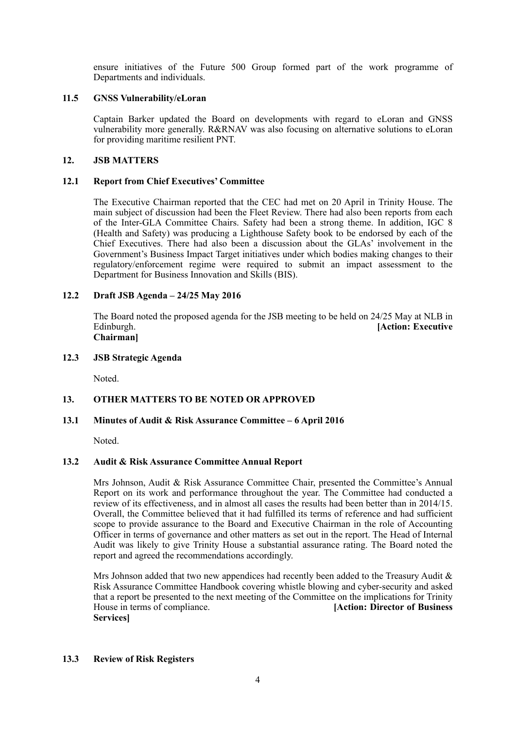ensure initiatives of the Future 500 Group formed part of the work programme of Departments and individuals.

## **11.5 GNSS Vulnerability/eLoran**

Captain Barker updated the Board on developments with regard to eLoran and GNSS vulnerability more generally. R&RNAV was also focusing on alternative solutions to eLoran for providing maritime resilient PNT.

## **12. JSB MATTERS**

## **12.1 Report from Chief Executives' Committee**

The Executive Chairman reported that the CEC had met on 20 April in Trinity House. The main subject of discussion had been the Fleet Review. There had also been reports from each of the Inter-GLA Committee Chairs. Safety had been a strong theme. In addition, IGC 8 (Health and Safety) was producing a Lighthouse Safety book to be endorsed by each of the Chief Executives. There had also been a discussion about the GLAs' involvement in the Government's Business Impact Target initiatives under which bodies making changes to their regulatory/enforcement regime were required to submit an impact assessment to the Department for Business Innovation and Skills (BIS).

## **12.2 Draft JSB Agenda – 24/25 May 2016**

 The Board noted the proposed agenda for the JSB meeting to be held on 24/25 May at NLB in **[Action: Executive Chairman]**

#### **12.3 JSB Strategic Agenda**

Noted.

# **13. OTHER MATTERS TO BE NOTED OR APPROVED**

#### **13.1 Minutes of Audit & Risk Assurance Committee – 6 April 2016**

Noted.

#### **13.2 Audit & Risk Assurance Committee Annual Report**

Mrs Johnson, Audit & Risk Assurance Committee Chair, presented the Committee's Annual Report on its work and performance throughout the year. The Committee had conducted a review of its effectiveness, and in almost all cases the results had been better than in 2014/15. Overall, the Committee believed that it had fulfilled its terms of reference and had sufficient scope to provide assurance to the Board and Executive Chairman in the role of Accounting Officer in terms of governance and other matters as set out in the report. The Head of Internal Audit was likely to give Trinity House a substantial assurance rating. The Board noted the report and agreed the recommendations accordingly.

Mrs Johnson added that two new appendices had recently been added to the Treasury Audit  $\&$ Risk Assurance Committee Handbook covering whistle blowing and cyber-security and asked that a report be presented to the next meeting of the Committee on the implications for Trinity House in terms of compliance. **[Action: Director of Business Services]** 

#### **13.3 Review of Risk Registers**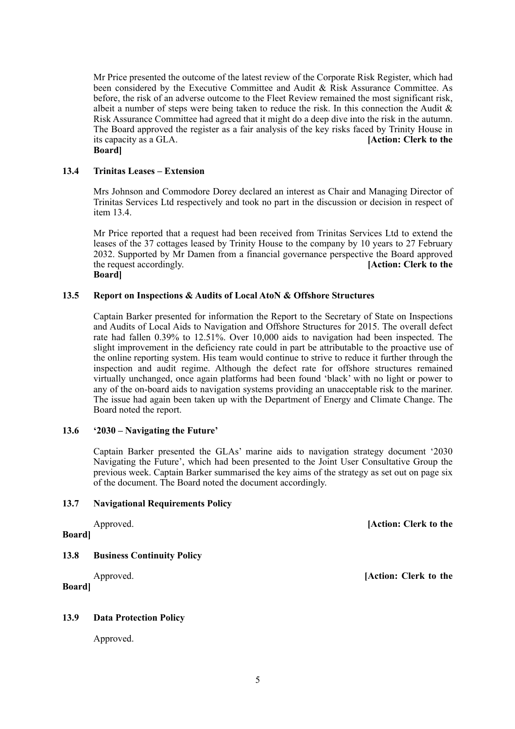Mr Price presented the outcome of the latest review of the Corporate Risk Register, which had been considered by the Executive Committee and Audit & Risk Assurance Committee. As before, the risk of an adverse outcome to the Fleet Review remained the most significant risk, albeit a number of steps were being taken to reduce the risk. In this connection the Audit  $\&$ Risk Assurance Committee had agreed that it might do a deep dive into the risk in the autumn. The Board approved the register as a fair analysis of the key risks faced by Trinity House in its capacity as a GLA. **[Action: Clerk to the Board]**

#### **13.4 Trinitas Leases – Extension**

Mrs Johnson and Commodore Dorey declared an interest as Chair and Managing Director of Trinitas Services Ltd respectively and took no part in the discussion or decision in respect of item 13.4.

Mr Price reported that a request had been received from Trinitas Services Ltd to extend the leases of the 37 cottages leased by Trinity House to the company by 10 years to 27 February 2032. Supported by Mr Damen from a financial governance perspective the Board approved the request accordingly. **[Action: Clerk to the Board]** 

#### **13.5 Report on Inspections & Audits of Local AtoN & Offshore Structures**

Captain Barker presented for information the Report to the Secretary of State on Inspections and Audits of Local Aids to Navigation and Offshore Structures for 2015. The overall defect rate had fallen 0.39% to 12.51%. Over 10,000 aids to navigation had been inspected. The slight improvement in the deficiency rate could in part be attributable to the proactive use of the online reporting system. His team would continue to strive to reduce it further through the inspection and audit regime. Although the defect rate for offshore structures remained virtually unchanged, once again platforms had been found 'black' with no light or power to any of the on-board aids to navigation systems providing an unacceptable risk to the mariner. The issue had again been taken up with the Department of Energy and Climate Change. The Board noted the report.

#### **13.6 '2030 – Navigating the Future'**

Captain Barker presented the GLAs' marine aids to navigation strategy document '2030 Navigating the Future', which had been presented to the Joint User Consultative Group the previous week. Captain Barker summarised the key aims of the strategy as set out on page six of the document. The Board noted the document accordingly.

#### **13.7 Navigational Requirements Policy**

#### **Board]**

#### **13.8 Business Continuity Policy**

## **Board]**

#### **13.9 Data Protection Policy**

Approved.

Approved. **[Action: Clerk to the** 

Approved. **[Action: Clerk to the**